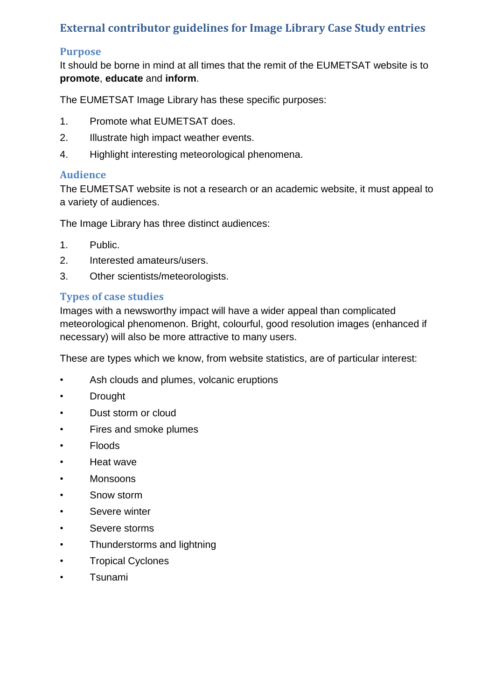# **External contributor guidelines for Image Library Case Study entries**

## **Purpose**

It should be borne in mind at all times that the remit of the EUMETSAT website is to **promote**, **educate** and **inform**.

The EUMETSAT Image Library has these specific purposes:

- 1. Promote what EUMETSAT does.
- 2. Illustrate high impact weather events.
- 4. Highlight interesting meteorological phenomena.

## **Audience**

The EUMETSAT website is not a research or an academic website, it must appeal to a variety of audiences.

The Image Library has three distinct audiences:

- 1. Public.
- 2. Interested amateurs/users.
- 3. Other scientists/meteorologists.

## **Types of case studies**

Images with a newsworthy impact will have a wider appeal than complicated meteorological phenomenon. Bright, colourful, good resolution images (enhanced if necessary) will also be more attractive to many users.

These are types which we know, from website statistics, are of particular interest:

- Ash clouds and plumes, volcanic eruptions
- **Drought**
- Dust storm or cloud
- Fires and smoke plumes
- Floods
- Heat wave
- Monsoons
- Snow storm
- Severe winter
- Severe storms
- Thunderstorms and lightning
- Tropical Cyclones
- Tsunami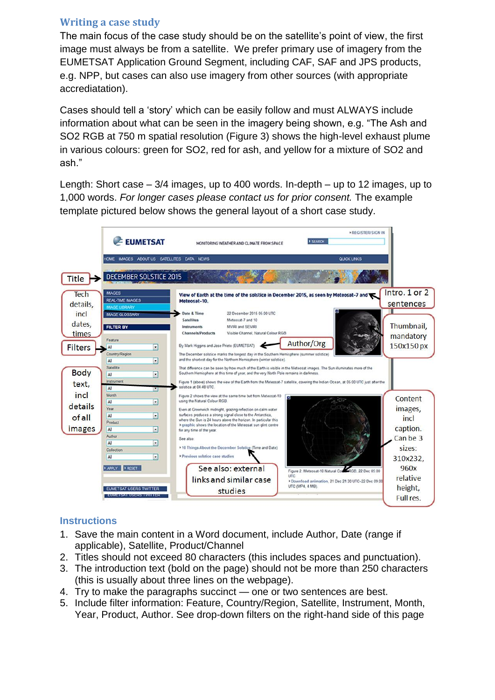## **Writing a case study**

The main focus of the case study should be on the satellite's point of view, the first image must always be from a satellite. We prefer primary use of imagery from the EUMETSAT Application Ground Segment, including CAF, SAF and JPS products, e.g. NPP, but cases can also use imagery from other sources (with appropriate accrediatation).

Cases should tell a 'story' which can be easily follow and must ALWAYS include information about what can be seen in the imagery being shown, e.g. "The Ash and SO2 RGB at 750 m spatial resolution (Figure 3) shows the high-level exhaust plume in various colours: green for SO2, red for ash, and yellow for a mixture of SO2 and ash."

Length: Short case – 3/4 images, up to 400 words. In-depth – up to 12 images, up to 1,000 words. *For longer cases please contact us for prior consent.* The example template pictured below shows the general layout of a short case study.



## **Instructions**

- 1. Save the main content in a Word document, include Author, Date (range if applicable), Satellite, Product/Channel
- 2. Titles should not exceed 80 characters (this includes spaces and punctuation).
- 3. The introduction text (bold on the page) should not be more than 250 characters (this is usually about three lines on the webpage).
- 4. Try to make the paragraphs succinct one or two sentences are best.
- 5. Include filter information: Feature, Country/Region, Satellite, Instrument, Month, Year, Product, Author. See drop-down filters on the right-hand side of this page